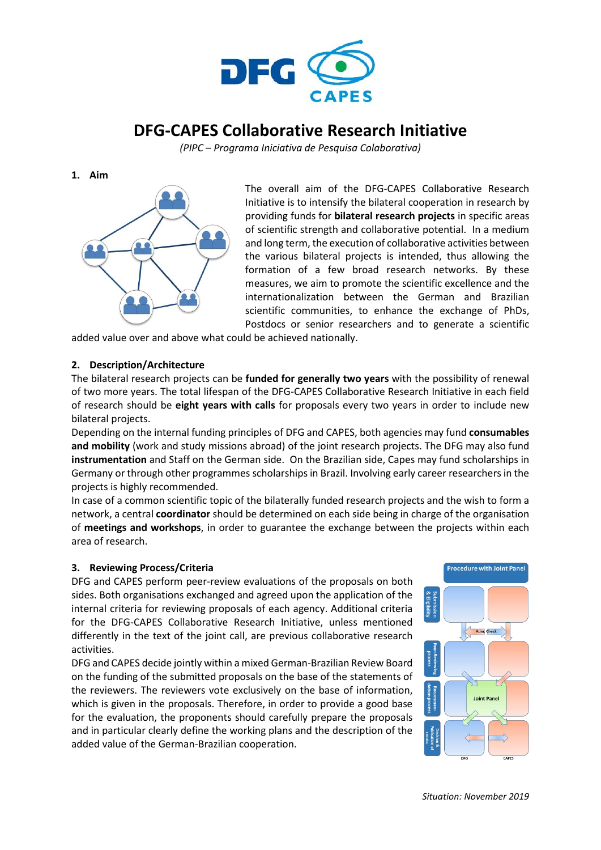

# **DFG-CAPES Collaborative Research Initiative**

*(PIPC – Programa Iniciativa de Pesquisa Colaborativa)*

**1. Aim**



The overall aim of the DFG-CAPES Collaborative Research Initiative is to intensify the bilateral cooperation in research by providing funds for **bilateral research projects** in specific areas of scientific strength and collaborative potential. In a medium and long term, the execution of collaborative activities between the various bilateral projects is intended, thus allowing the formation of a few broad research networks. By these measures, we aim to promote the scientific excellence and the internationalization between the German and Brazilian scientific communities, to enhance the exchange of PhDs, Postdocs or senior researchers and to generate a scientific

added value over and above what could be achieved nationally.

## **2. Description/Architecture**

The bilateral research projects can be **funded for generally two years** with the possibility of renewal of two more years. The total lifespan of the DFG-CAPES Collaborative Research Initiative in each field of research should be **eight years with calls** for proposals every two years in order to include new bilateral projects.

Depending on the internal funding principles of DFG and CAPES, both agencies may fund **consumables and mobility** (work and study missions abroad) of the joint research projects. The DFG may also fund **instrumentation** and Staff on the German side. On the Brazilian side, Capes may fund scholarships in Germany or through other programmes scholarships in Brazil. Involving early career researchers in the projects is highly recommended.

In case of a common scientific topic of the bilaterally funded research projects and the wish to form a network, a central **coordinator** should be determined on each side being in charge of the organisation of **meetings and workshops**, in order to guarantee the exchange between the projects within each area of research.

### **3. Reviewing Process/Criteria**

DFG and CAPES perform peer-review evaluations of the proposals on both sides. Both organisations exchanged and agreed upon the application of the internal criteria for reviewing proposals of each agency. Additional criteria for the DFG-CAPES Collaborative Research Initiative, unless mentioned differently in the text of the joint call, are previous collaborative research activities.

DFG and CAPES decide jointly within a mixed German-Brazilian Review Board on the funding of the submitted proposals on the base of the statements of the reviewers. The reviewers vote exclusively on the base of information, which is given in the proposals. Therefore, in order to provide a good base for the evaluation, the proponents should carefully prepare the proposals and in particular clearly define the working plans and the description of the added value of the German-Brazilian cooperation.